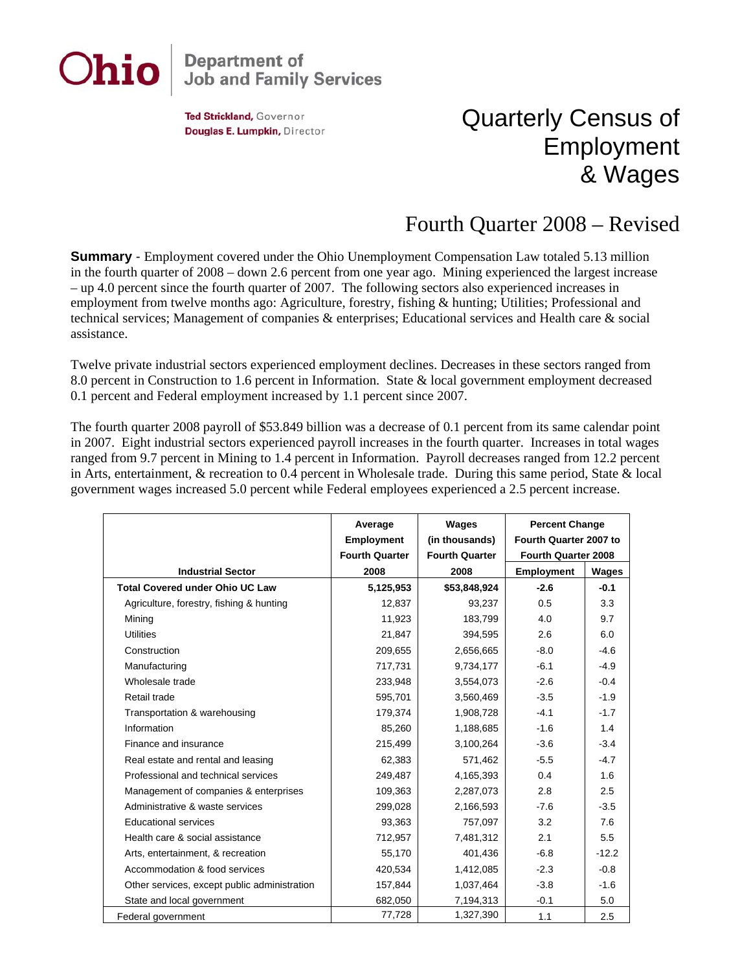

## **Department of<br>Job and Family Services**

Ted Strickland, Governor Douglas E. Lumpkin, Director

## Quarterly Census of Employment & Wages

## Fourth Quarter 2008 – Revised

**Summary** - Employment covered under the Ohio Unemployment Compensation Law totaled 5.13 million in the fourth quarter of 2008 – down 2.6 percent from one year ago. Mining experienced the largest increase – up 4.0 percent since the fourth quarter of 2007. The following sectors also experienced increases in employment from twelve months ago: Agriculture, forestry, fishing & hunting; Utilities; Professional and technical services; Management of companies & enterprises; Educational services and Health care & social assistance.

Twelve private industrial sectors experienced employment declines. Decreases in these sectors ranged from 8.0 percent in Construction to 1.6 percent in Information. State & local government employment decreased 0.1 percent and Federal employment increased by 1.1 percent since 2007.

The fourth quarter 2008 payroll of \$53.849 billion was a decrease of 0.1 percent from its same calendar point in 2007. Eight industrial sectors experienced payroll increases in the fourth quarter. Increases in total wages ranged from 9.7 percent in Mining to 1.4 percent in Information. Payroll decreases ranged from 12.2 percent in Arts, entertainment, & recreation to 0.4 percent in Wholesale trade. During this same period, State & local government wages increased 5.0 percent while Federal employees experienced a 2.5 percent increase.

|                                              | Average<br><b>Employment</b><br><b>Fourth Quarter</b> | Wages<br>(in thousands)<br><b>Fourth Quarter</b> | <b>Percent Change</b><br>Fourth Quarter 2007 to<br>Fourth Quarter 2008 |         |
|----------------------------------------------|-------------------------------------------------------|--------------------------------------------------|------------------------------------------------------------------------|---------|
| <b>Industrial Sector</b>                     | 2008                                                  | 2008                                             | <b>Employment</b>                                                      | Wages   |
| <b>Total Covered under Ohio UC Law</b>       | 5,125,953                                             | \$53,848,924                                     | $-2.6$                                                                 | $-0.1$  |
| Agriculture, forestry, fishing & hunting     | 12,837                                                | 93,237                                           | 0.5                                                                    | 3.3     |
| Mining                                       | 11,923                                                | 183,799                                          | 4.0                                                                    | 9.7     |
| <b>Utilities</b>                             | 21.847                                                | 394,595                                          | 2.6                                                                    | 6.0     |
| Construction                                 | 209,655                                               | 2,656,665                                        | $-8.0$                                                                 | $-4.6$  |
| Manufacturing                                | 717,731                                               | 9,734,177                                        | $-6.1$                                                                 | $-4.9$  |
| Wholesale trade                              | 233,948                                               | 3,554,073                                        | $-2.6$                                                                 | $-0.4$  |
| Retail trade                                 | 595,701                                               | 3,560,469                                        | $-3.5$                                                                 | $-1.9$  |
| Transportation & warehousing                 | 179,374                                               | 1,908,728                                        | $-4.1$                                                                 | $-1.7$  |
| Information                                  | 85,260                                                | 1,188,685                                        | $-1.6$                                                                 | 1.4     |
| Finance and insurance                        | 215,499                                               | 3,100,264                                        | $-3.6$                                                                 | $-3.4$  |
| Real estate and rental and leasing           | 62,383                                                | 571,462                                          | $-5.5$                                                                 | $-4.7$  |
| Professional and technical services          | 249,487                                               | 4,165,393                                        | 0.4                                                                    | 1.6     |
| Management of companies & enterprises        | 109,363                                               | 2,287,073                                        | 2.8                                                                    | 2.5     |
| Administrative & waste services              | 299,028                                               | 2,166,593                                        | $-7.6$                                                                 | $-3.5$  |
| Educational services                         | 93,363                                                | 757,097                                          | 3.2                                                                    | 7.6     |
| Health care & social assistance              | 712,957                                               | 7,481,312                                        | 2.1                                                                    | 5.5     |
| Arts, entertainment, & recreation            | 55,170                                                | 401,436                                          | $-6.8$                                                                 | $-12.2$ |
| Accommodation & food services                | 420,534                                               | 1,412,085                                        | $-2.3$                                                                 | $-0.8$  |
| Other services, except public administration | 157,844                                               | 1,037,464                                        | $-3.8$                                                                 | $-1.6$  |
| State and local government                   | 682,050                                               | 7,194,313                                        | $-0.1$                                                                 | 5.0     |
| Federal government                           | 77,728                                                | 1,327,390                                        | 1.1                                                                    | 2.5     |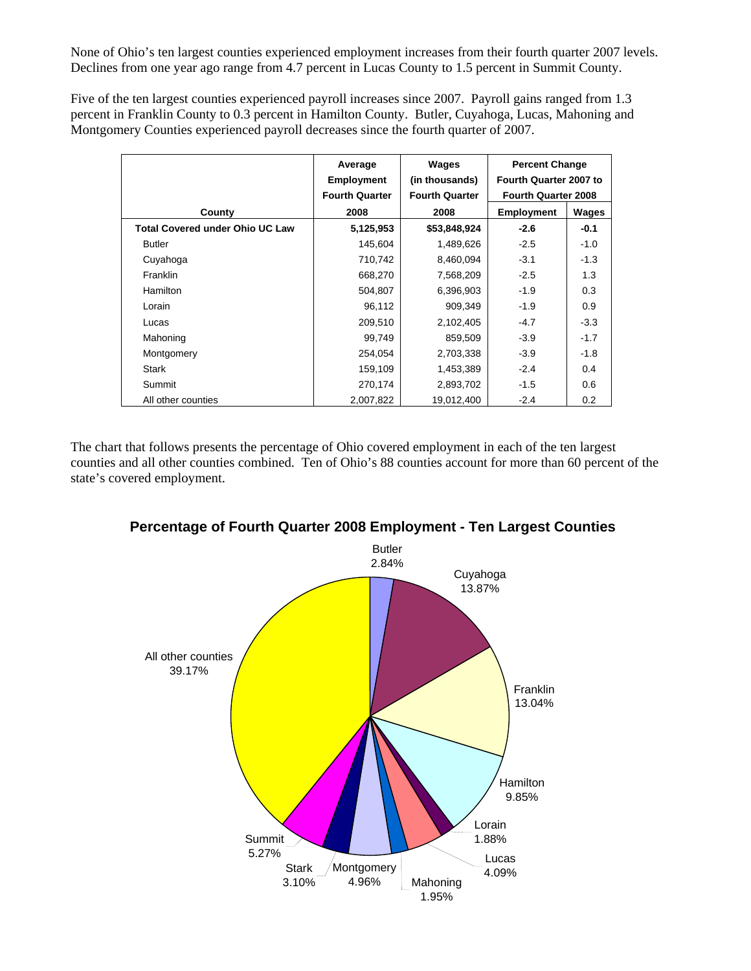None of Ohio's ten largest counties experienced employment increases from their fourth quarter 2007 levels. Declines from one year ago range from 4.7 percent in Lucas County to 1.5 percent in Summit County.

Five of the ten largest counties experienced payroll increases since 2007. Payroll gains ranged from 1.3 percent in Franklin County to 0.3 percent in Hamilton County. Butler, Cuyahoga, Lucas, Mahoning and Montgomery Counties experienced payroll decreases since the fourth quarter of 2007.

|                                        | Average<br><b>Employment</b><br><b>Fourth Quarter</b> | Wages<br>(in thousands)<br><b>Fourth Quarter</b> | <b>Percent Change</b><br>Fourth Quarter 2007 to<br><b>Fourth Quarter 2008</b> |        |
|----------------------------------------|-------------------------------------------------------|--------------------------------------------------|-------------------------------------------------------------------------------|--------|
| County                                 | 2008                                                  | 2008                                             | <b>Employment</b>                                                             | Wages  |
| <b>Total Covered under Ohio UC Law</b> | 5,125,953                                             | \$53,848,924                                     | $-2.6$                                                                        | $-0.1$ |
| <b>Butler</b>                          | 145,604                                               | 1,489,626                                        | $-2.5$                                                                        | $-1.0$ |
| Cuyahoga                               | 710,742                                               | 8,460,094                                        | $-3.1$                                                                        | $-1.3$ |
| Franklin                               | 668,270                                               | 7,568,209                                        | $-2.5$                                                                        | 1.3    |
| <b>Hamilton</b>                        | 504,807                                               | 6,396,903                                        | $-1.9$                                                                        | 0.3    |
| Lorain                                 | 96,112                                                | 909.349                                          | $-1.9$                                                                        | 0.9    |
| Lucas                                  | 209,510                                               | 2,102,405                                        | $-4.7$                                                                        | $-3.3$ |
| Mahoning                               | 99,749                                                | 859,509                                          | $-3.9$                                                                        | $-1.7$ |
| Montgomery                             | 254,054                                               | 2,703,338                                        | $-3.9$                                                                        | $-1.8$ |
| Stark                                  | 159,109                                               | 1,453,389                                        | $-2.4$                                                                        | 0.4    |
| Summit                                 | 270,174                                               | 2,893,702                                        | $-1.5$                                                                        | 0.6    |
| All other counties                     | 2,007,822                                             | 19,012,400                                       | $-2.4$                                                                        | 0.2    |

The chart that follows presents the percentage of Ohio covered employment in each of the ten largest counties and all other counties combined. Ten of Ohio's 88 counties account for more than 60 percent of the state's covered employment.



**Percentage of Fourth Quarter 2008 Employment - Ten Largest Counties**